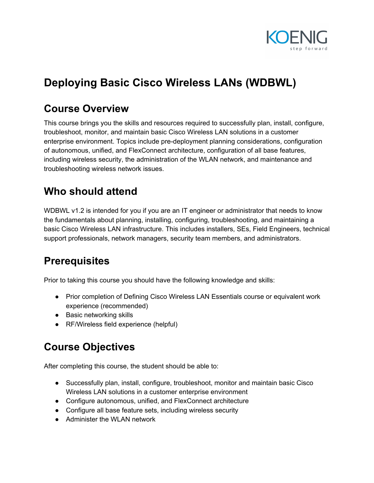

# **Deploying Basic Cisco Wireless LANs (WDBWL)**

### **Course Overview**

This course brings you the skills and resources required to successfully plan, install, configure, troubleshoot, monitor, and maintain basic Cisco Wireless LAN solutions in a customer enterprise environment. Topics include pre-deployment planning considerations, configuration of autonomous, unified, and FlexConnect architecture, configuration of all base features, including wireless security, the administration of the WLAN network, and maintenance and troubleshooting wireless network issues.

# **Who should attend**

WDBWL v1.2 is intended for you if you are an IT engineer or administrator that needs to know the fundamentals about planning, installing, configuring, troubleshooting, and maintaining a basic Cisco Wireless LAN infrastructure. This includes installers, SEs, Field Engineers, technical support professionals, network managers, security team members, and administrators.

### **Prerequisites**

Prior to taking this course you should have the following knowledge and skills:

- Prior completion of Defining Cisco Wireless LAN Essentials course or equivalent work experience (recommended)
- Basic networking skills
- RF/Wireless field experience (helpful)

# **Course Objectives**

After completing this course, the student should be able to:

- Successfully plan, install, configure, troubleshoot, monitor and maintain basic Cisco Wireless LAN solutions in a customer enterprise environment
- Configure autonomous, unified, and FlexConnect architecture
- Configure all base feature sets, including wireless security
- Administer the WLAN network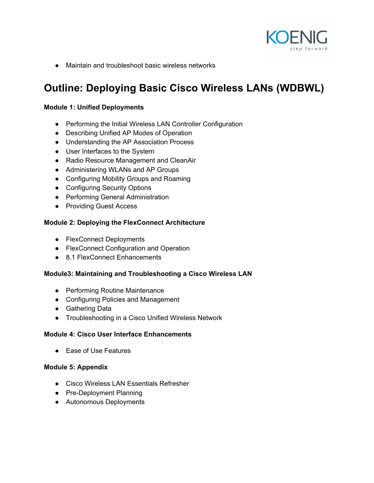

● Maintain and troubleshoot basic wireless networks

# **Outline: Deploying Basic Cisco Wireless LANs (WDBWL)**

### **Module 1: Unified Deployments**

- Performing the Initial Wireless LAN Controller Configuration
- Describing Unified AP Modes of Operation
- Understanding the AP Association Process
- User Interfaces to the System
- Radio Resource Management and CleanAir
- Administering WLANs and AP Groups
- Configuring Mobility Groups and Roaming
- Configuring Security Options
- Performing General Administration
- Providing Guest Access

#### **Module 2: Deploying the FlexConnect Architecture**

- FlexConnect Deployments
- FlexConnect Configuration and Operation
- 8.1 FlexConnect Enhancements

### **Module3: Maintaining and Troubleshooting a Cisco Wireless LAN**

- Performing Routine Maintenance
- Configuring Policies and Management
- Gathering Data
- Troubleshooting in a Cisco Unified Wireless Network

#### **Module 4: Cisco User Interface Enhancements**

● Ease of Use Features

#### **Module 5: Appendix**

- Cisco Wireless LAN Essentials Refresher
- Pre-Deployment Planning
- Autonomous Deployments